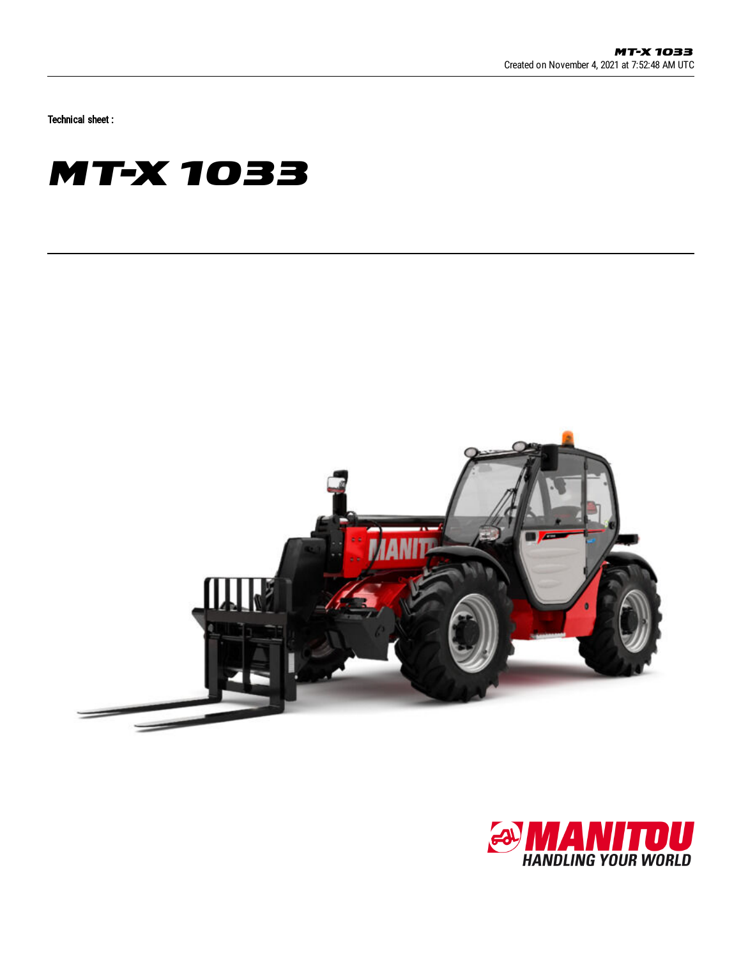Technical sheet :





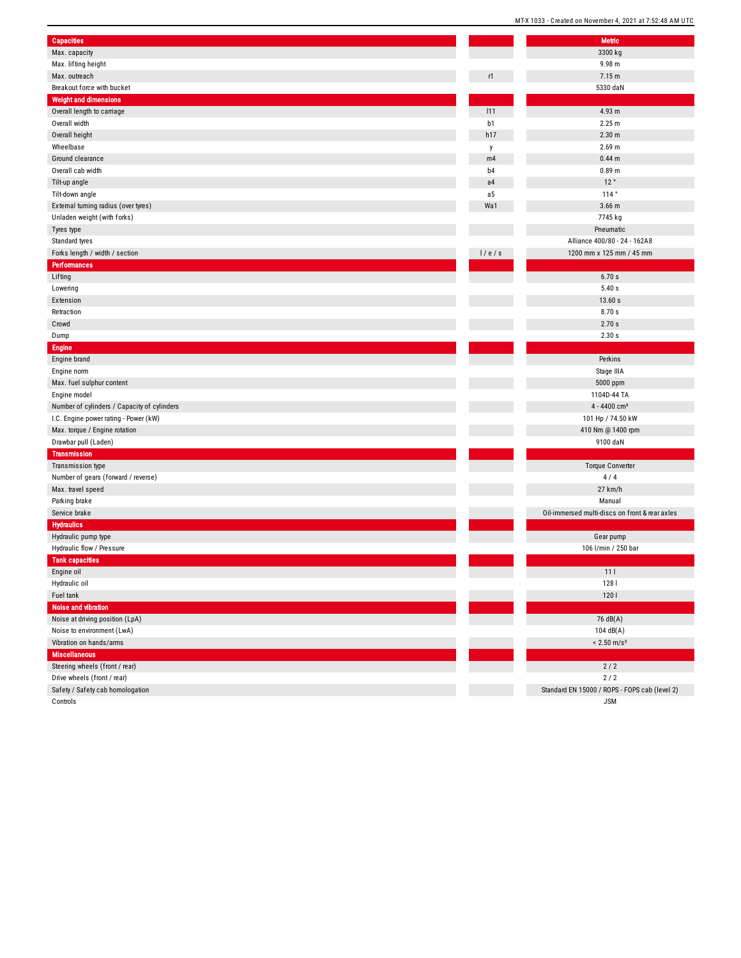|                                             |         | MI-X 1033 - Created on November 4, 2021 at 7:52:48 AM |
|---------------------------------------------|---------|-------------------------------------------------------|
| Capacities                                  |         | <b>Metric</b>                                         |
| Max. capacity                               |         | 3300 kg                                               |
| Max. lifting height                         |         | 9.98 m                                                |
| Max. outreach                               | r1      | 7.15 m                                                |
| Breakout force with bucket                  |         | 5330 daN                                              |
| <b>Weight and dimensions</b>                |         |                                                       |
| Overall length to carriage                  | 111     | 4.93 m                                                |
| Overall width                               | b1      | 2.25 m                                                |
| Overall height                              | h17     | 2.30 <sub>m</sub>                                     |
| Wheelbase                                   |         | $2.69$ m                                              |
| Ground clearance                            | y<br>m4 | 0.44 <sub>m</sub>                                     |
| Overall cab width                           | b4      | 0.89 <sub>m</sub>                                     |
|                                             | a4      | 12°                                                   |
| Tilt-up angle                               |         | 114°                                                  |
| Tilt-down angle                             | a5      |                                                       |
| External turning radius (over tyres)        | Wa1     | $3.66$ m                                              |
| Unladen weight (with forks)                 |         | 7745 kg                                               |
| Tyres type                                  |         | Pneumatic                                             |
| Standard tyres                              |         | Alliance 400/80 - 24 - 162A8                          |
| Forks length / width / section              | 1/e/s   | 1200 mm x 125 mm / 45 mm                              |
| <b>Performances</b>                         |         |                                                       |
| Lifting                                     |         | 6.70s                                                 |
| Lowering                                    |         | 5.40s                                                 |
| Extension                                   |         | 13.60 s                                               |
| Retraction                                  |         | 8.70s                                                 |
| Crowd                                       |         | 2.70 s                                                |
| Dump                                        |         | 2.30 s                                                |
| <b>Engine</b>                               |         |                                                       |
| Engine brand                                |         | Perkins                                               |
| Engine norm                                 |         | Stage IIIA                                            |
| Max. fuel sulphur content                   |         | 5000 ppm                                              |
| Engine model                                |         | 1104D-44 TA                                           |
| Number of cylinders / Capacity of cylinders |         | 4 - 4400 cm <sup>3</sup>                              |
| I.C. Engine power rating - Power (kW)       |         | 101 Hp / 74.50 kW                                     |
| Max. torque / Engine rotation               |         | 410 Nm @ 1400 rpm                                     |
| Drawbar pull (Laden)                        |         | 9100 daN                                              |
| <b>Transmission</b>                         |         |                                                       |
| Transmission type                           |         | <b>Torque Converter</b>                               |
| Number of gears (forward / reverse)         |         | 4/4                                                   |
| Max. travel speed                           |         | 27 km/h                                               |
| Parking brake                               |         | Manual                                                |
| Service brake                               |         | Oil-immersed multi-discs on front & rear axles        |
| <b>Hydraulics</b>                           |         |                                                       |
| Hydraulic pump type                         |         | Gear pump                                             |
| Hydraulic flow / Pressure                   |         | 106 l/min / 250 bar                                   |
| <b>Tank capacities</b>                      |         |                                                       |
| Engine oil                                  |         | 111                                                   |
| Hydraulic oil                               |         | 128 l                                                 |
| Fuel tank                                   |         | 1201                                                  |
| Noise and vibration                         |         |                                                       |
| Noise at driving position (LpA)             |         | 76 dB(A)                                              |
| Noise to environment (LwA)                  |         | 104 dB(A)                                             |
| Vibration on hands/arms                     |         | $< 2.50$ m/s <sup>2</sup>                             |
| <b>Miscellaneous</b>                        |         |                                                       |
| Steering wheels (front / rear)              |         | $2/2$                                                 |
| Drive wheels (front / rear)                 |         | $2/2$                                                 |
| Safety / Safety cab homologation            |         | Standard EN 15000 / ROPS - FOPS cab (level 2)         |
|                                             |         |                                                       |

Controls

J S M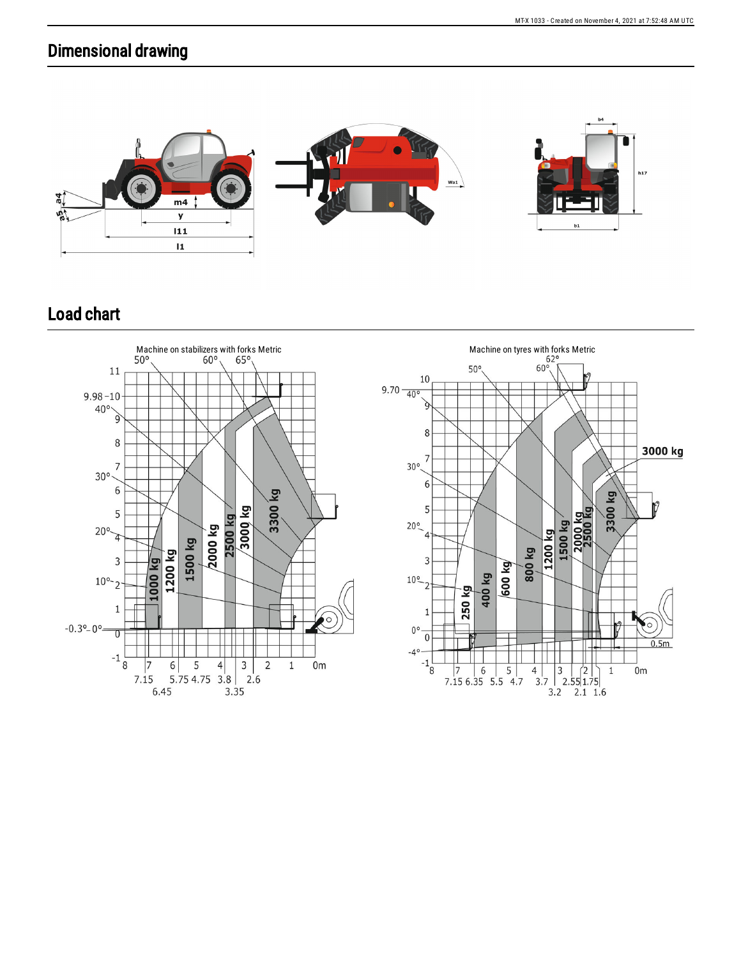## Dimensional drawing



## Load chart